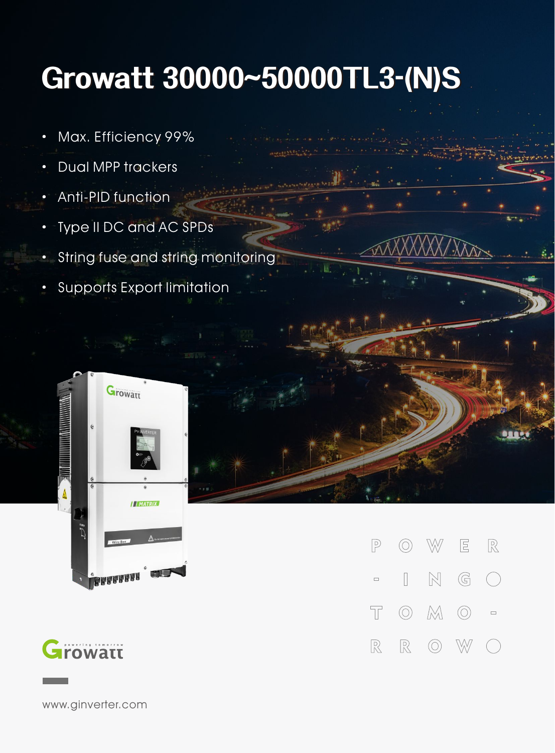## **Growatt30000~50000TL3-(N)S**

- · Max. Efficiency 99%
- · Dual MPP trackers
- Anti-PID function
- · Type II DC and AC SPDs
- **String fuse and string monitoring**
- · Supports Export limitation





**rowatt** 

www.ginverter.com